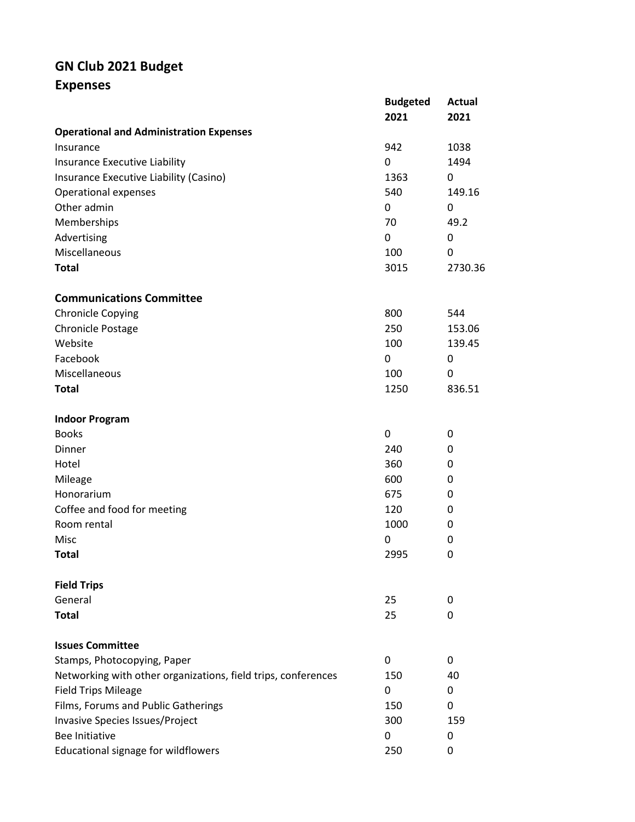## **GN Club 2021 Budget**

**Expenses**

|                                                               | <b>Budgeted</b><br>2021 | Actual<br>2021 |
|---------------------------------------------------------------|-------------------------|----------------|
| <b>Operational and Administration Expenses</b>                |                         |                |
| Insurance                                                     | 942                     | 1038           |
| Insurance Executive Liability                                 | 0                       | 1494           |
| Insurance Executive Liability (Casino)                        | 1363                    | 0              |
| <b>Operational expenses</b>                                   | 540                     | 149.16         |
| Other admin                                                   | 0                       | 0              |
| Memberships                                                   | 70                      | 49.2           |
| Advertising                                                   | 0                       | 0              |
| Miscellaneous                                                 | 100                     | 0              |
| <b>Total</b>                                                  | 3015                    | 2730.36        |
| <b>Communications Committee</b>                               |                         |                |
| <b>Chronicle Copying</b>                                      | 800                     | 544            |
| Chronicle Postage                                             | 250                     | 153.06         |
| Website                                                       | 100                     | 139.45         |
| Facebook                                                      | 0                       | 0              |
| Miscellaneous                                                 | 100                     | 0              |
| <b>Total</b>                                                  | 1250                    | 836.51         |
| <b>Indoor Program</b>                                         |                         |                |
| <b>Books</b>                                                  | 0                       | 0              |
| Dinner                                                        | 240                     | 0              |
| Hotel                                                         | 360                     | 0              |
| Mileage                                                       | 600                     | 0              |
| Honorarium                                                    | 675                     | 0              |
| Coffee and food for meeting                                   | 120                     | 0              |
| Room rental                                                   | 1000                    | 0              |
| Misc                                                          | 0                       | 0              |
| <b>Total</b>                                                  | 2995                    | 0              |
| <b>Field Trips</b>                                            |                         |                |
| General                                                       | 25                      | 0              |
| <b>Total</b>                                                  | 25                      | 0              |
| <b>Issues Committee</b>                                       |                         |                |
| Stamps, Photocopying, Paper                                   | 0                       | 0              |
| Networking with other organizations, field trips, conferences | 150                     | 40             |
| <b>Field Trips Mileage</b>                                    | 0                       | 0              |
| Films, Forums and Public Gatherings                           | 150                     | 0              |
| Invasive Species Issues/Project                               | 300                     | 159            |
| <b>Bee Initiative</b>                                         | 0                       | 0              |
| Educational signage for wildflowers                           | 250                     | 0              |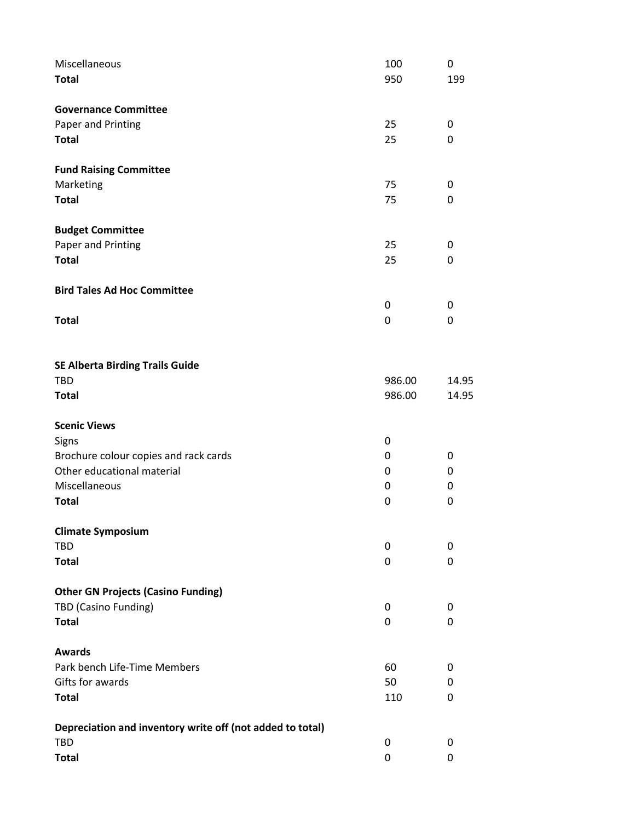| Miscellaneous                                             | 100    | 0     |
|-----------------------------------------------------------|--------|-------|
| <b>Total</b>                                              | 950    | 199   |
| <b>Governance Committee</b>                               |        |       |
| Paper and Printing                                        | 25     | 0     |
| <b>Total</b>                                              | 25     | 0     |
| <b>Fund Raising Committee</b>                             |        |       |
| Marketing                                                 | 75     | 0     |
| <b>Total</b>                                              | 75     | 0     |
| <b>Budget Committee</b>                                   |        |       |
| Paper and Printing                                        | 25     | 0     |
| <b>Total</b>                                              | 25     | 0     |
| <b>Bird Tales Ad Hoc Committee</b>                        |        |       |
|                                                           | 0      | 0     |
| <b>Total</b>                                              | 0      | 0     |
| <b>SE Alberta Birding Trails Guide</b>                    |        |       |
| <b>TBD</b>                                                | 986.00 | 14.95 |
| <b>Total</b>                                              | 986.00 | 14.95 |
| <b>Scenic Views</b>                                       |        |       |
| Signs                                                     | 0      |       |
| Brochure colour copies and rack cards                     | 0      | 0     |
| Other educational material                                | 0      | 0     |
| Miscellaneous                                             | 0      | 0     |
| <b>Total</b>                                              | 0      | 0     |
| <b>Climate Symposium</b>                                  |        |       |
| <b>TBD</b>                                                | 0      | 0     |
| <b>Total</b>                                              | 0      | 0     |
| <b>Other GN Projects (Casino Funding)</b>                 |        |       |
| TBD (Casino Funding)                                      | 0      | 0     |
| <b>Total</b>                                              | 0      | 0     |
| <b>Awards</b>                                             |        |       |
| Park bench Life-Time Members                              | 60     | 0     |
| Gifts for awards                                          | 50     | 0     |
| <b>Total</b>                                              | 110    | 0     |
| Depreciation and inventory write off (not added to total) |        |       |
| <b>TBD</b>                                                | 0      | 0     |
| <b>Total</b>                                              | 0      | 0     |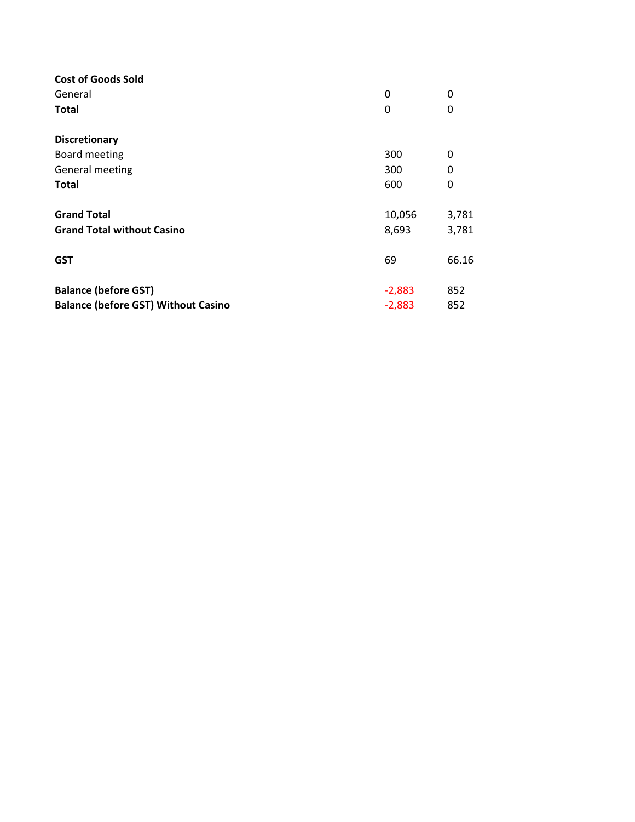| <b>Cost of Goods Sold</b>                  |          |       |
|--------------------------------------------|----------|-------|
| General                                    | 0        | 0     |
| <b>Total</b>                               | 0        | 0     |
| <b>Discretionary</b>                       |          |       |
| Board meeting                              | 300      | 0     |
| General meeting                            | 300      | 0     |
| <b>Total</b>                               | 600      | 0     |
| <b>Grand Total</b>                         | 10,056   | 3,781 |
| <b>Grand Total without Casino</b>          | 8,693    | 3,781 |
| <b>GST</b>                                 | 69       | 66.16 |
| <b>Balance (before GST)</b>                | $-2,883$ | 852   |
| <b>Balance (before GST) Without Casino</b> | $-2,883$ | 852   |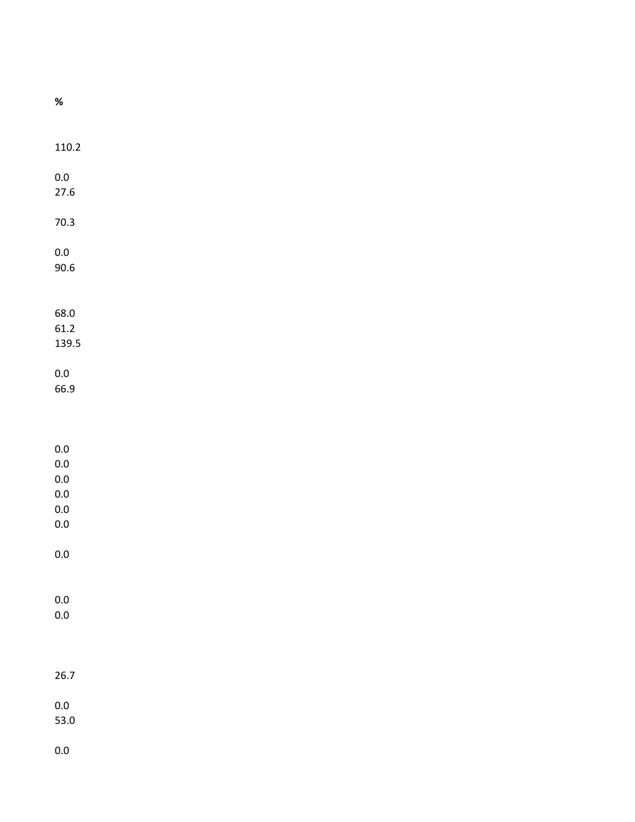| $\%$               |  |  |
|--------------------|--|--|
|                    |  |  |
|                    |  |  |
| 110.2              |  |  |
|                    |  |  |
| $0.0\,$            |  |  |
| 27.6               |  |  |
|                    |  |  |
| $70.3$             |  |  |
| $0.0\,$            |  |  |
| 90.6               |  |  |
|                    |  |  |
|                    |  |  |
| 68.0               |  |  |
| 61.2               |  |  |
| 139.5              |  |  |
| $0.0\,$            |  |  |
| 66.9               |  |  |
|                    |  |  |
|                    |  |  |
|                    |  |  |
| $0.0\,$            |  |  |
| $0.0\,$<br>$0.0\,$ |  |  |
| $0.0\,$            |  |  |
| $0.0\,$            |  |  |
| $0.0\,$            |  |  |
|                    |  |  |
| $0.0\,$            |  |  |
|                    |  |  |
| $0.0\,$            |  |  |
| $0.0\,$            |  |  |
|                    |  |  |
|                    |  |  |
|                    |  |  |
| 26.7               |  |  |
| $0.0\,$            |  |  |
| 53.0               |  |  |
|                    |  |  |
| $0.0\,$            |  |  |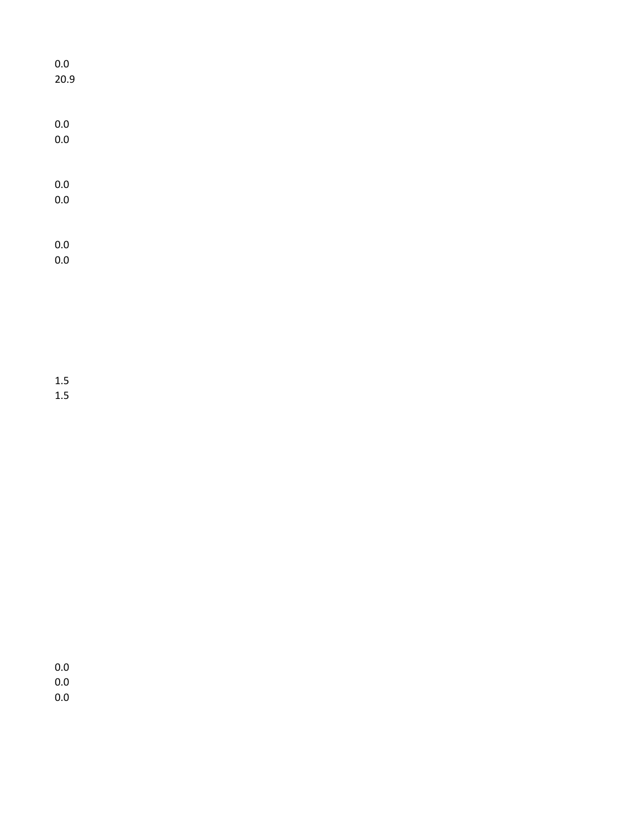| $0.0\,$     |  |  |  |
|-------------|--|--|--|
| 20.9        |  |  |  |
|             |  |  |  |
|             |  |  |  |
| $0.0$ $0.0$ |  |  |  |
|             |  |  |  |
|             |  |  |  |
| $0.0\,$ 0.0 |  |  |  |
|             |  |  |  |
|             |  |  |  |
|             |  |  |  |
| $0.0\,$ 0.0 |  |  |  |
|             |  |  |  |
|             |  |  |  |

1.5 1.5

0.0 0.0

0.0